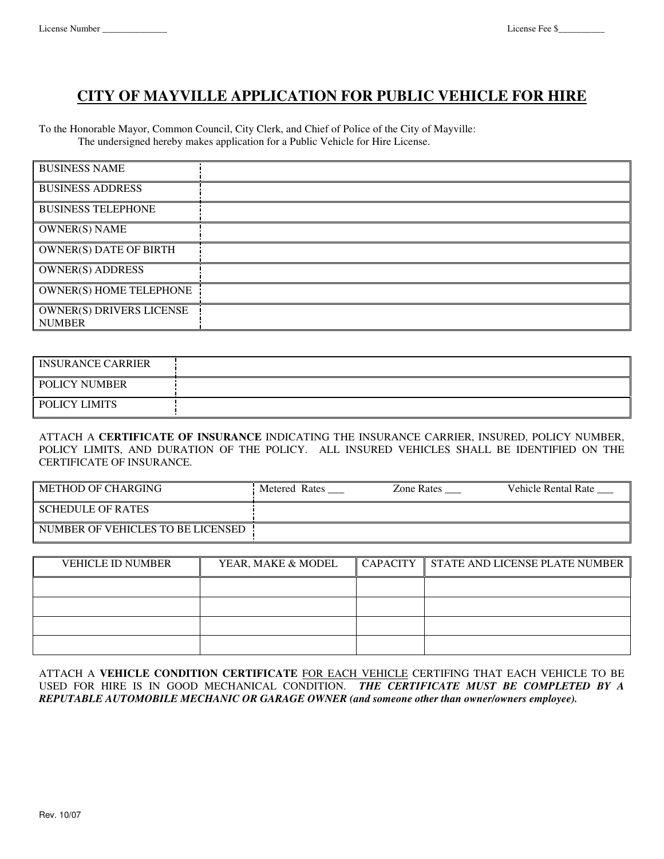## **CITY OF MAYVILLE APPLICATION FOR PUBLIC VEHICLE FOR HIRE**

To the Honorable Mayor, Common Council, City Clerk, and Chief of Police of the City of Mayville: The undersigned hereby makes application for a Public Vehicle for Hire License.

| <b>BUSINESS NAME</b>                             |  |
|--------------------------------------------------|--|
| <b>BUSINESS ADDRESS</b>                          |  |
| <b>BUSINESS TELEPHONE</b>                        |  |
| <b>OWNER(S) NAME</b>                             |  |
| <b>OWNER(S) DATE OF BIRTH</b>                    |  |
| <b>OWNER(S) ADDRESS</b>                          |  |
| <b>OWNER(S) HOME TELEPHONE</b>                   |  |
| <b>OWNER(S) DRIVERS LICENSE</b><br><b>NUMBER</b> |  |

| <b>INSURANCE CARRIER</b> |  |
|--------------------------|--|
| POLICY NUMBER            |  |
| POLICY LIMITS            |  |

ATTACH A **CERTIFICATE OF INSURANCE** INDICATING THE INSURANCE CARRIER, INSURED, POLICY NUMBER, POLICY LIMITS, AND DURATION OF THE POLICY. ALL INSURED VEHICLES SHALL BE IDENTIFIED ON THE CERTIFICATE OF INSURANCE.

| METHOD OF CHARGING                | Metered Rates | Zone Rates | Vehicle Rental Rate |
|-----------------------------------|---------------|------------|---------------------|
| <b>SCHEDULE OF RATES</b>          |               |            |                     |
| NUMBER OF VEHICLES TO BE LICENSED |               |            |                     |

| <b>VEHICLE ID NUMBER</b> | YEAR, MAKE & MODEL | <b>CAPACITY</b> | STATE AND LICENSE PLATE NUMBER |
|--------------------------|--------------------|-----------------|--------------------------------|
|                          |                    |                 |                                |
|                          |                    |                 |                                |
|                          |                    |                 |                                |
|                          |                    |                 |                                |

ATTACH A **VEHICLE CONDITION CERTIFICATE** FOR EACH VEHICLE CERTIFING THAT EACH VEHICLE TO BE USED FOR HIRE IS IN GOOD MECHANICAL CONDITION. *THE CERTIFICATE MUST BE COMPLETED BY A REPUTABLE AUTOMOBILE MECHANIC OR GARAGE OWNER (and someone other than owner/owners employee).*